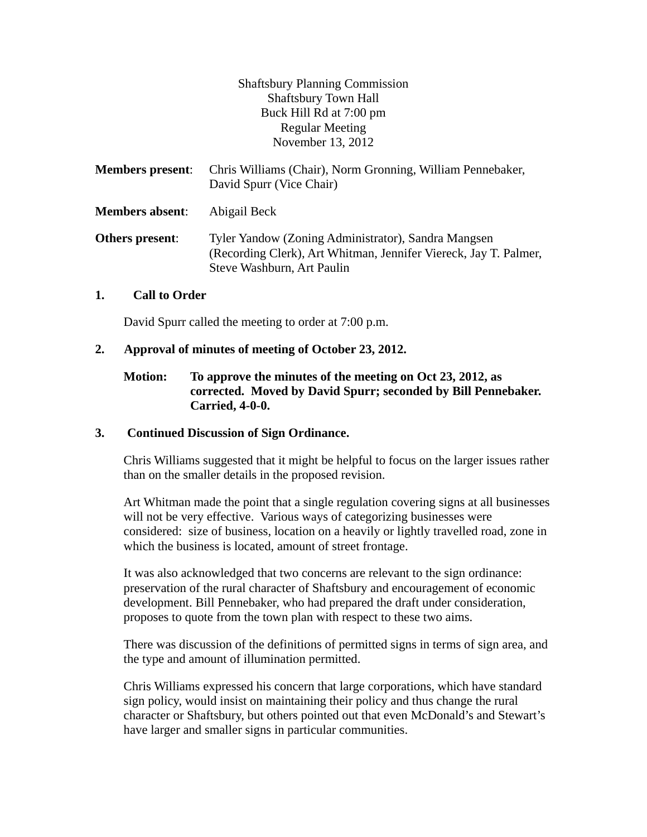Shaftsbury Planning Commission Shaftsbury Town Hall Buck Hill Rd at 7:00 pm Regular Meeting November 13, 2012

| <b>Members present:</b> | Chris Williams (Chair), Norm Gronning, William Pennebaker,<br>David Spurr (Vice Chair)                                                                |
|-------------------------|-------------------------------------------------------------------------------------------------------------------------------------------------------|
| <b>Members absent:</b>  | Abigail Beck                                                                                                                                          |
| Others present:         | Tyler Yandow (Zoning Administrator), Sandra Mangsen<br>(Recording Clerk), Art Whitman, Jennifer Viereck, Jay T. Palmer,<br>Steve Washburn, Art Paulin |

#### **1. Call to Order**

David Spurr called the meeting to order at 7:00 p.m.

### **2. Approval of minutes of meeting of October 23, 2012.**

### **Motion: To approve the minutes of the meeting on Oct 23, 2012, as corrected. Moved by David Spurr; seconded by Bill Pennebaker. Carried, 4-0-0.**

#### **3. Continued Discussion of Sign Ordinance.**

Chris Williams suggested that it might be helpful to focus on the larger issues rather than on the smaller details in the proposed revision.

Art Whitman made the point that a single regulation covering signs at all businesses will not be very effective. Various ways of categorizing businesses were considered: size of business, location on a heavily or lightly travelled road, zone in which the business is located, amount of street frontage.

It was also acknowledged that two concerns are relevant to the sign ordinance: preservation of the rural character of Shaftsbury and encouragement of economic development. Bill Pennebaker, who had prepared the draft under consideration, proposes to quote from the town plan with respect to these two aims.

There was discussion of the definitions of permitted signs in terms of sign area, and the type and amount of illumination permitted.

Chris Williams expressed his concern that large corporations, which have standard sign policy, would insist on maintaining their policy and thus change the rural character or Shaftsbury, but others pointed out that even McDonald's and Stewart's have larger and smaller signs in particular communities.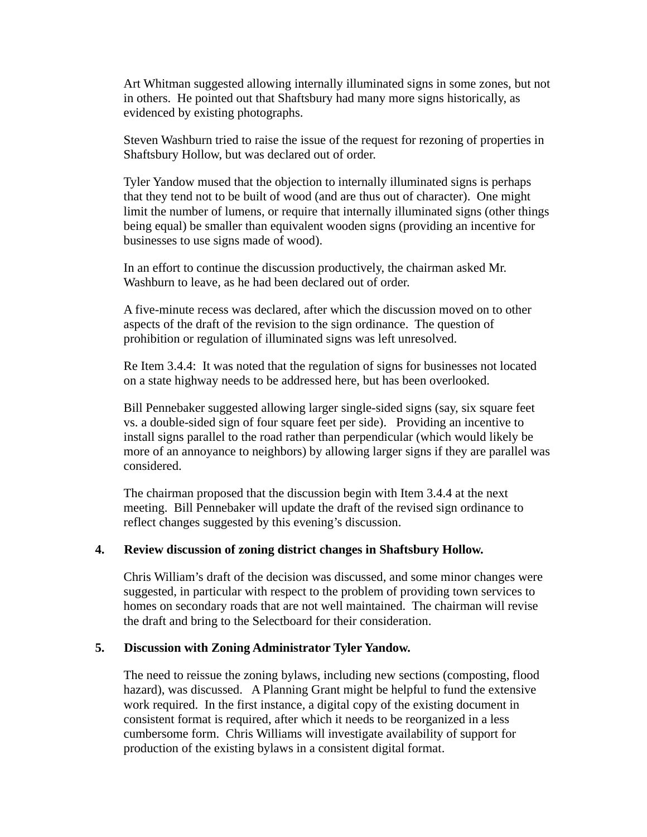Art Whitman suggested allowing internally illuminated signs in some zones, but not in others. He pointed out that Shaftsbury had many more signs historically, as evidenced by existing photographs.

Steven Washburn tried to raise the issue of the request for rezoning of properties in Shaftsbury Hollow, but was declared out of order.

Tyler Yandow mused that the objection to internally illuminated signs is perhaps that they tend not to be built of wood (and are thus out of character). One might limit the number of lumens, or require that internally illuminated signs (other things being equal) be smaller than equivalent wooden signs (providing an incentive for businesses to use signs made of wood).

In an effort to continue the discussion productively, the chairman asked Mr. Washburn to leave, as he had been declared out of order.

A five-minute recess was declared, after which the discussion moved on to other aspects of the draft of the revision to the sign ordinance. The question of prohibition or regulation of illuminated signs was left unresolved.

Re Item 3.4.4: It was noted that the regulation of signs for businesses not located on a state highway needs to be addressed here, but has been overlooked.

Bill Pennebaker suggested allowing larger single-sided signs (say, six square feet vs. a double-sided sign of four square feet per side). Providing an incentive to install signs parallel to the road rather than perpendicular (which would likely be more of an annoyance to neighbors) by allowing larger signs if they are parallel was considered.

The chairman proposed that the discussion begin with Item 3.4.4 at the next meeting. Bill Pennebaker will update the draft of the revised sign ordinance to reflect changes suggested by this evening's discussion.

### **4. Review discussion of zoning district changes in Shaftsbury Hollow.**

Chris William's draft of the decision was discussed, and some minor changes were suggested, in particular with respect to the problem of providing town services to homes on secondary roads that are not well maintained. The chairman will revise the draft and bring to the Selectboard for their consideration.

#### **5. Discussion with Zoning Administrator Tyler Yandow.**

The need to reissue the zoning bylaws, including new sections (composting, flood hazard), was discussed. A Planning Grant might be helpful to fund the extensive work required. In the first instance, a digital copy of the existing document in consistent format is required, after which it needs to be reorganized in a less cumbersome form. Chris Williams will investigate availability of support for production of the existing bylaws in a consistent digital format.